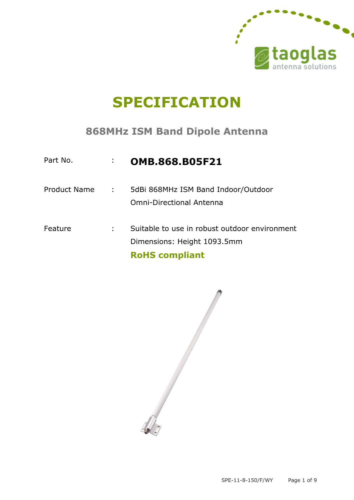

# **SPECIFICATION**

### **868MHz ISM Band Dipole Antenna**

| Part No.            |            | <b>OMB.868.B05F21</b>                                                                                 |
|---------------------|------------|-------------------------------------------------------------------------------------------------------|
| <b>Product Name</b> | $\sim 100$ | 5dBi 868MHz ISM Band Indoor/Outdoor<br><b>Omni-Directional Antenna</b>                                |
| Feature             | ÷          | Suitable to use in robust outdoor environment<br>Dimensions: Height 1093.5mm<br><b>RoHS</b> compliant |

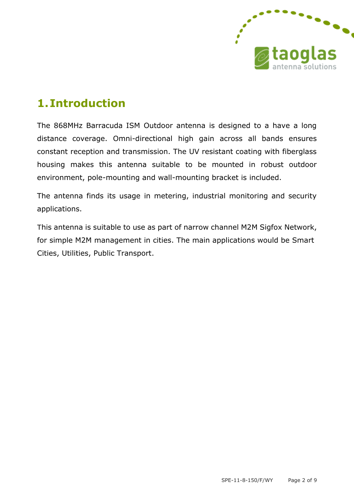

## **1.Introduction**

The 868MHz Barracuda ISM Outdoor antenna is designed to a have a long distance coverage. Omni-directional high gain across all bands ensures constant reception and transmission. The UV resistant coating with fiberglass housing makes this antenna suitable to be mounted in robust outdoor environment, pole-mounting and wall-mounting bracket is included.

The antenna finds its usage in metering, industrial monitoring and security applications.

This antenna is suitable to use as part of narrow channel M2M Sigfox Network, for simple M2M management in cities. The main applications would be Smart Cities, Utilities, Public Transport.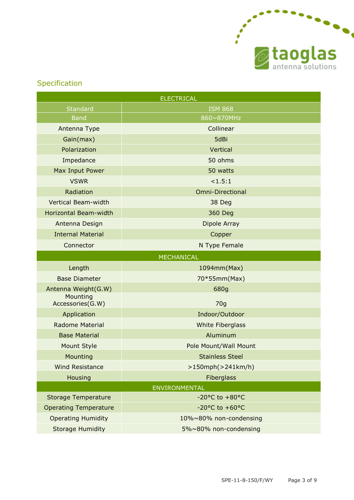

### Specification

| <b>ELECTRICAL</b>            |                                    |  |  |  |  |
|------------------------------|------------------------------------|--|--|--|--|
| <b>Standard</b>              | <b>ISM 868</b>                     |  |  |  |  |
| <b>Band</b>                  | 860~870MHz                         |  |  |  |  |
| Antenna Type                 | Collinear                          |  |  |  |  |
| Gain(max)                    | 5dBi                               |  |  |  |  |
| Polarization                 | Vertical                           |  |  |  |  |
| Impedance                    | 50 ohms                            |  |  |  |  |
| Max Input Power              | 50 watts                           |  |  |  |  |
| <b>VSWR</b>                  | <1.5:1                             |  |  |  |  |
| Radiation                    | <b>Omni-Directional</b>            |  |  |  |  |
| Vertical Beam-width          | 38 Deg                             |  |  |  |  |
| Horizontal Beam-width        | 360 Deg                            |  |  |  |  |
| Antenna Design               | Dipole Array                       |  |  |  |  |
| <b>Internal Material</b>     | Copper                             |  |  |  |  |
| Connector                    | N Type Female                      |  |  |  |  |
|                              | <b>MECHANICAL</b>                  |  |  |  |  |
| Length                       | 1094mm(Max)                        |  |  |  |  |
| <b>Base Diameter</b>         | 70*55mm(Max)                       |  |  |  |  |
| Antenna Weight(G.W)          | 680g                               |  |  |  |  |
| Mounting<br>Accessories(G.W) | 70 <sub>g</sub>                    |  |  |  |  |
| Application                  | Indoor/Outdoor                     |  |  |  |  |
| <b>Radome Material</b>       | <b>White Fiberglass</b>            |  |  |  |  |
| <b>Base Material</b>         | Aluminum                           |  |  |  |  |
| <b>Mount Style</b>           | Pole Mount/Wall Mount              |  |  |  |  |
| Mounting                     | <b>Stainless Steel</b>             |  |  |  |  |
| <b>Wind Resistance</b>       | $>150$ mph( $>241$ km/h)           |  |  |  |  |
| Housing                      | Fiberglass                         |  |  |  |  |
| ENVIRONMENTAL                |                                    |  |  |  |  |
| <b>Storage Temperature</b>   | $-20$ °C to $+80$ °C               |  |  |  |  |
|                              |                                    |  |  |  |  |
| <b>Operating Temperature</b> | $-20^{\circ}$ C to $+60^{\circ}$ C |  |  |  |  |
| <b>Operating Humidity</b>    | 10%~80% non-condensing             |  |  |  |  |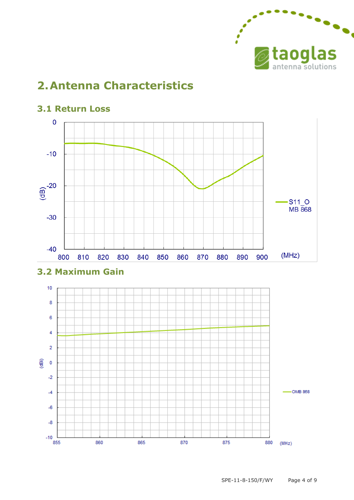

## **2.Antenna Characteristics**



870

875

#### **3.1 Return Loss**

 $-10$  $\frac{1}{855}$ 

860

865

SPE-11-8-150/F/WY Page 4 of 9

880 (MHz)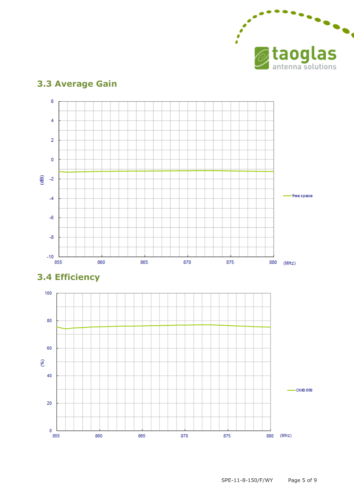

#### $\overline{6}$  $\overline{4}$  $\overline{2}$  $\mathbf 0$  $\frac{2}{9}$  -2 -free space  $-4$  $-6$  $-8$  $-10$ 855 860 865 870 880 (MHz) 875

### **3.3 Average Gain**



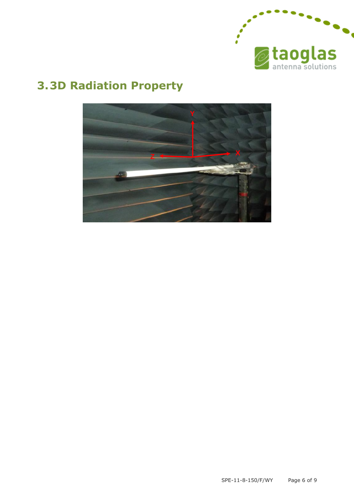

# **3.3D Radiation Property**

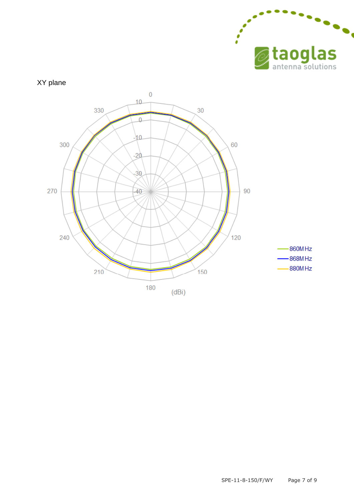



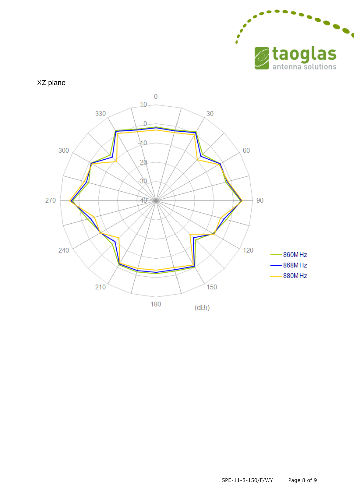

#### XZ plane

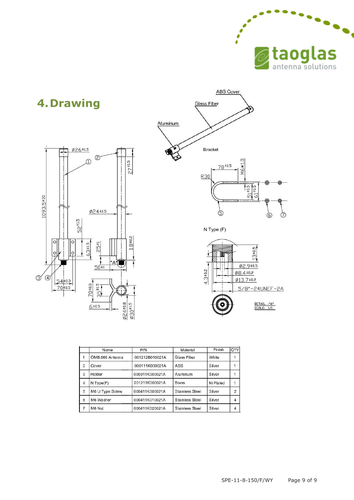



|                | Name            | P/N            | Material        | Finish    | QTY            |
|----------------|-----------------|----------------|-----------------|-----------|----------------|
|                | OMB.868 Antenna | 001212B010021A | Glass Fiber     | White     |                |
| $\overline{2}$ | Cover           | 000111K000021A | <b>ABS</b>      | Silver    |                |
| 3              | Holder          | 000311K000021A | Aluminum        | Silver    |                |
| $\overline{4}$ | $N$ Type $(F)$  | 201211K000021A | <b>Brass</b>    | Ni Plated |                |
| 5              | M6 U Type Screw | 000411K000021A | Stainless Steel | Silver    | $\overline{2}$ |
| 6              | M6 Washer       | 000411K010021A | Stainless Steel | Silver    |                |
| $\overline{7}$ | M6 Nut          | 000411K020021A | Stainless Steel | Silver    |                |